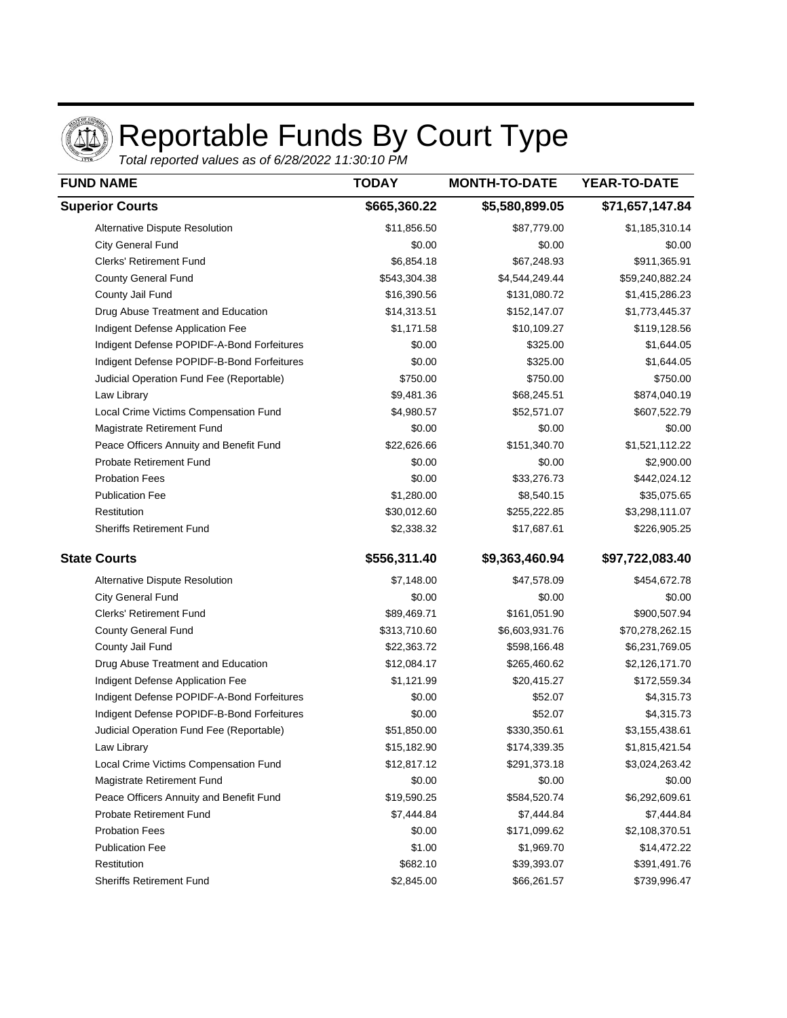

## Reportable Funds By Court Type

Total reported values as of 6/28/2022 11:30:10 PM

| <b>FUND NAME</b>                           | <b>TODAY</b> | <b>MONTH-TO-DATE</b> | YEAR-TO-DATE    |
|--------------------------------------------|--------------|----------------------|-----------------|
| <b>Superior Courts</b>                     | \$665,360.22 | \$5,580,899.05       | \$71,657,147.84 |
| Alternative Dispute Resolution             | \$11,856.50  | \$87,779.00          | \$1,185,310.14  |
| <b>City General Fund</b>                   | \$0.00       | \$0.00               | \$0.00          |
| <b>Clerks' Retirement Fund</b>             | \$6,854.18   | \$67,248.93          | \$911,365.91    |
| <b>County General Fund</b>                 | \$543,304.38 | \$4,544,249.44       | \$59,240,882.24 |
| County Jail Fund                           | \$16,390.56  | \$131,080.72         | \$1,415,286.23  |
| Drug Abuse Treatment and Education         | \$14,313.51  | \$152,147.07         | \$1,773,445.37  |
| Indigent Defense Application Fee           | \$1,171.58   | \$10,109.27          | \$119,128.56    |
| Indigent Defense POPIDF-A-Bond Forfeitures | \$0.00       | \$325.00             | \$1,644.05      |
| Indigent Defense POPIDF-B-Bond Forfeitures | \$0.00       | \$325.00             | \$1,644.05      |
| Judicial Operation Fund Fee (Reportable)   | \$750.00     | \$750.00             | \$750.00        |
| Law Library                                | \$9,481.36   | \$68,245.51          | \$874,040.19    |
| Local Crime Victims Compensation Fund      | \$4,980.57   | \$52,571.07          | \$607,522.79    |
| Magistrate Retirement Fund                 | \$0.00       | \$0.00               | \$0.00          |
| Peace Officers Annuity and Benefit Fund    | \$22,626.66  | \$151,340.70         | \$1,521,112.22  |
| <b>Probate Retirement Fund</b>             | \$0.00       | \$0.00               | \$2,900.00      |
| <b>Probation Fees</b>                      | \$0.00       | \$33,276.73          | \$442,024.12    |
| <b>Publication Fee</b>                     | \$1,280.00   | \$8,540.15           | \$35,075.65     |
| Restitution                                | \$30,012.60  | \$255,222.85         | \$3,298,111.07  |
| <b>Sheriffs Retirement Fund</b>            | \$2,338.32   | \$17,687.61          | \$226,905.25    |
| <b>State Courts</b>                        | \$556,311.40 | \$9,363,460.94       | \$97,722,083.40 |
| Alternative Dispute Resolution             | \$7,148.00   | \$47,578.09          | \$454,672.78    |
| <b>City General Fund</b>                   | \$0.00       | \$0.00               | \$0.00          |
| <b>Clerks' Retirement Fund</b>             | \$89,469.71  | \$161,051.90         | \$900,507.94    |
| County General Fund                        | \$313,710.60 | \$6,603,931.76       | \$70,278,262.15 |
| County Jail Fund                           | \$22,363.72  | \$598,166.48         | \$6,231,769.05  |
| Drug Abuse Treatment and Education         | \$12,084.17  | \$265,460.62         | \$2,126,171.70  |
| Indigent Defense Application Fee           | \$1,121.99   | \$20,415.27          | \$172,559.34    |
| Indigent Defense POPIDF-A-Bond Forfeitures | \$0.00       | \$52.07              | \$4,315.73      |
| Indigent Defense POPIDF-B-Bond Forfeitures | \$0.00       | \$52.07              | \$4,315.73      |
| Judicial Operation Fund Fee (Reportable)   | \$51,850.00  | \$330,350.61         | \$3,155,438.61  |
| Law Library                                | \$15,182.90  | \$174,339.35         | \$1,815,421.54  |
| Local Crime Victims Compensation Fund      | \$12,817.12  | \$291,373.18         | \$3,024,263.42  |
| Magistrate Retirement Fund                 | \$0.00       | \$0.00               | \$0.00          |
| Peace Officers Annuity and Benefit Fund    | \$19,590.25  | \$584,520.74         | \$6,292,609.61  |
| <b>Probate Retirement Fund</b>             | \$7,444.84   | \$7,444.84           | \$7,444.84      |
| <b>Probation Fees</b>                      | \$0.00       | \$171,099.62         | \$2,108,370.51  |
| <b>Publication Fee</b>                     | \$1.00       | \$1,969.70           | \$14,472.22     |
| Restitution                                | \$682.10     | \$39,393.07          | \$391,491.76    |
| <b>Sheriffs Retirement Fund</b>            | \$2,845.00   | \$66,261.57          | \$739,996.47    |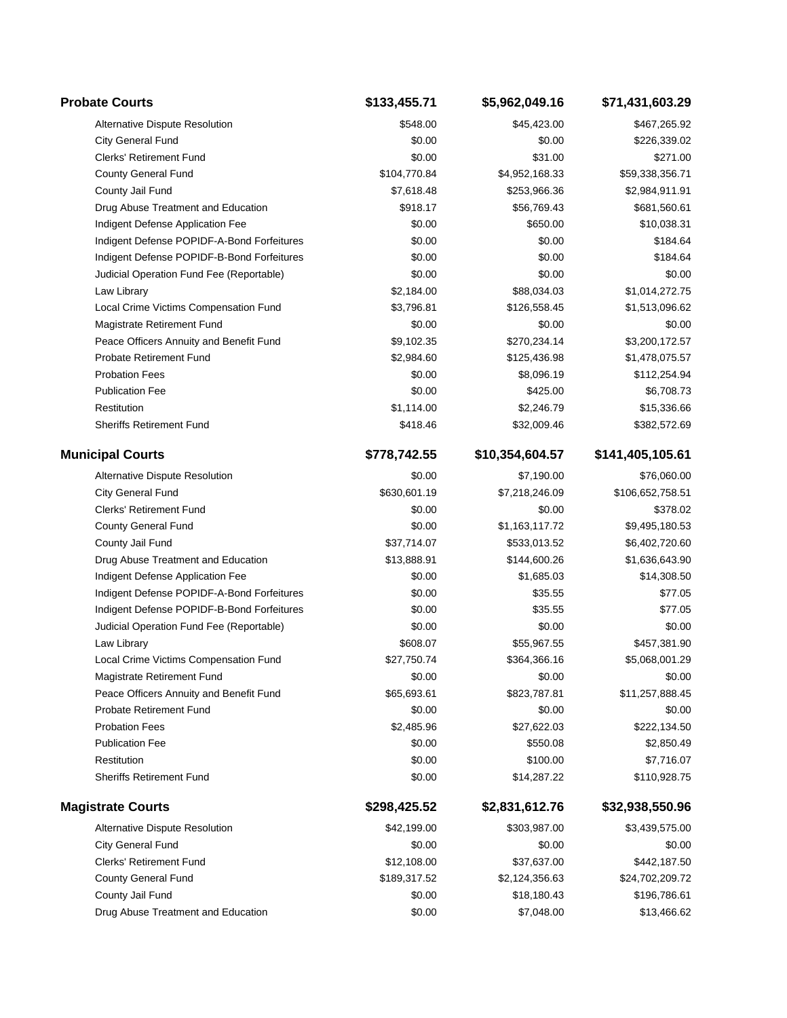| <b>Probate Courts</b>                      | \$133,455.71 | \$5,962,049.16  | \$71,431,603.29  |
|--------------------------------------------|--------------|-----------------|------------------|
| Alternative Dispute Resolution             | \$548.00     | \$45,423.00     | \$467,265.92     |
| City General Fund                          | \$0.00       | \$0.00          | \$226,339.02     |
| <b>Clerks' Retirement Fund</b>             | \$0.00       | \$31.00         | \$271.00         |
| County General Fund                        | \$104,770.84 | \$4,952,168.33  | \$59,338,356.71  |
| County Jail Fund                           | \$7,618.48   | \$253,966.36    | \$2,984,911.91   |
| Drug Abuse Treatment and Education         | \$918.17     | \$56,769.43     | \$681,560.61     |
| Indigent Defense Application Fee           | \$0.00       | \$650.00        | \$10,038.31      |
| Indigent Defense POPIDF-A-Bond Forfeitures | \$0.00       | \$0.00          | \$184.64         |
| Indigent Defense POPIDF-B-Bond Forfeitures | \$0.00       | \$0.00          | \$184.64         |
| Judicial Operation Fund Fee (Reportable)   | \$0.00       | \$0.00          | \$0.00           |
| Law Library                                | \$2,184.00   | \$88,034.03     | \$1,014,272.75   |
| Local Crime Victims Compensation Fund      | \$3,796.81   | \$126,558.45    | \$1,513,096.62   |
| Magistrate Retirement Fund                 | \$0.00       | \$0.00          | \$0.00           |
| Peace Officers Annuity and Benefit Fund    | \$9,102.35   | \$270,234.14    | \$3,200,172.57   |
| <b>Probate Retirement Fund</b>             | \$2,984.60   | \$125,436.98    | \$1,478,075.57   |
| <b>Probation Fees</b>                      | \$0.00       | \$8,096.19      | \$112,254.94     |
| <b>Publication Fee</b>                     | \$0.00       | \$425.00        | \$6,708.73       |
| Restitution                                | \$1,114.00   | \$2,246.79      | \$15,336.66      |
| <b>Sheriffs Retirement Fund</b>            | \$418.46     | \$32,009.46     | \$382,572.69     |
| <b>Municipal Courts</b>                    | \$778,742.55 | \$10,354,604.57 | \$141,405,105.61 |
| Alternative Dispute Resolution             | \$0.00       | \$7,190.00      | \$76,060.00      |
| City General Fund                          | \$630,601.19 | \$7,218,246.09  | \$106,652,758.51 |
| <b>Clerks' Retirement Fund</b>             | \$0.00       | \$0.00          | \$378.02         |
| County General Fund                        | \$0.00       | \$1,163,117.72  | \$9,495,180.53   |
| County Jail Fund                           | \$37,714.07  | \$533,013.52    | \$6,402,720.60   |
| Drug Abuse Treatment and Education         | \$13,888.91  | \$144,600.26    | \$1,636,643.90   |
| Indigent Defense Application Fee           | \$0.00       | \$1,685.03      | \$14,308.50      |
| Indigent Defense POPIDF-A-Bond Forfeitures | \$0.00       | \$35.55         | \$77.05          |
| Indigent Defense POPIDF-B-Bond Forfeitures | \$0.00       | \$35.55         | \$77.05          |
| Judicial Operation Fund Fee (Reportable)   | \$0.00       | \$0.00          | \$0.00           |
| Law Library                                | \$608.07     | \$55,967.55     | \$457,381.90     |
| Local Crime Victims Compensation Fund      | \$27,750.74  | \$364,366.16    | \$5,068,001.29   |
| Magistrate Retirement Fund                 | \$0.00       | \$0.00          | \$0.00           |
| Peace Officers Annuity and Benefit Fund    | \$65,693.61  | \$823,787.81    | \$11,257,888.45  |
| <b>Probate Retirement Fund</b>             | \$0.00       | \$0.00          | \$0.00           |
| <b>Probation Fees</b>                      | \$2,485.96   | \$27,622.03     | \$222,134.50     |
| <b>Publication Fee</b>                     | \$0.00       | \$550.08        | \$2,850.49       |
| Restitution                                | \$0.00       | \$100.00        | \$7,716.07       |
| <b>Sheriffs Retirement Fund</b>            | \$0.00       | \$14,287.22     | \$110,928.75     |
| <b>Magistrate Courts</b>                   | \$298,425.52 | \$2,831,612.76  | \$32,938,550.96  |
| Alternative Dispute Resolution             | \$42,199.00  | \$303,987.00    | \$3,439,575.00   |
| City General Fund                          | \$0.00       | \$0.00          | \$0.00           |
| <b>Clerks' Retirement Fund</b>             | \$12,108.00  | \$37,637.00     | \$442,187.50     |
| County General Fund                        | \$189,317.52 | \$2,124,356.63  | \$24,702,209.72  |
| County Jail Fund                           | \$0.00       | \$18,180.43     | \$196,786.61     |
| Drug Abuse Treatment and Education         | \$0.00       | \$7,048.00      | \$13,466.62      |